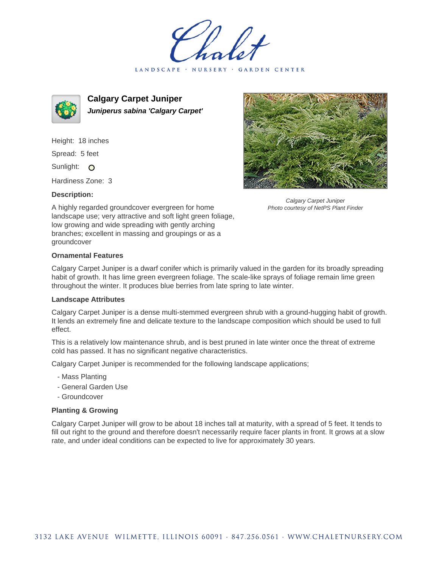LANDSCAPE · NURSERY GARDEN CENTER



**Calgary Carpet Juniper Juniperus sabina 'Calgary Carpet'**

Height: 18 inches Spread: 5 feet

Sunlight: O

Hardiness Zone: 3

## **Description:**



Calgary Carpet Juniper Photo courtesy of NetPS Plant Finder

A highly regarded groundcover evergreen for home landscape use; very attractive and soft light green foliage, low growing and wide spreading with gently arching branches; excellent in massing and groupings or as a groundcover

## **Ornamental Features**

Calgary Carpet Juniper is a dwarf conifer which is primarily valued in the garden for its broadly spreading habit of growth. It has lime green evergreen foliage. The scale-like sprays of foliage remain lime green throughout the winter. It produces blue berries from late spring to late winter.

## **Landscape Attributes**

Calgary Carpet Juniper is a dense multi-stemmed evergreen shrub with a ground-hugging habit of growth. It lends an extremely fine and delicate texture to the landscape composition which should be used to full effect.

This is a relatively low maintenance shrub, and is best pruned in late winter once the threat of extreme cold has passed. It has no significant negative characteristics.

Calgary Carpet Juniper is recommended for the following landscape applications;

- Mass Planting
- General Garden Use
- Groundcover

## **Planting & Growing**

Calgary Carpet Juniper will grow to be about 18 inches tall at maturity, with a spread of 5 feet. It tends to fill out right to the ground and therefore doesn't necessarily require facer plants in front. It grows at a slow rate, and under ideal conditions can be expected to live for approximately 30 years.